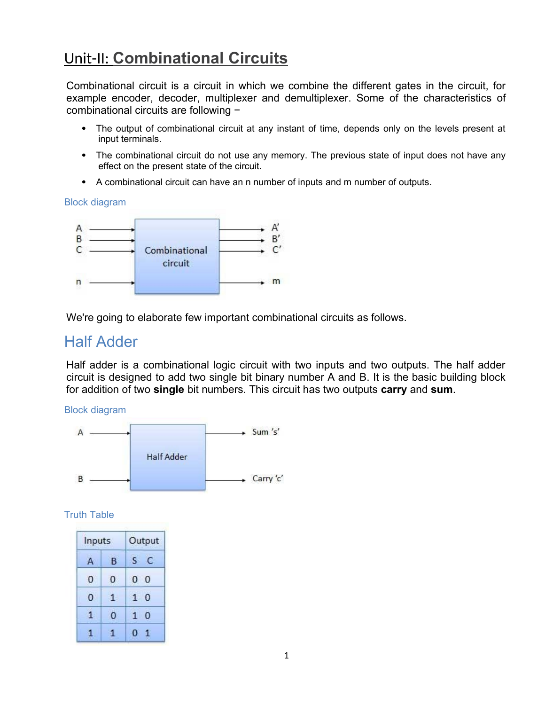# Unit-II: **Combinational Circuits**

Combinational circuit is a circuit in which we combine the different gates in the circuit, for example encoder, decoder, multiplexer and demultiplexer. Some of the characteristics of combinational circuits are following −

- The output of combinational circuit at any instant of time, depends only on the levels present at input terminals.
- The combinational circuit do not use any memory. The previous state of input does not have any effect on the present state of the circuit.
- A combinational circuit can have an n number of inputs and m number of outputs.

Block diagram



We're going to elaborate few important combinational circuits as follows.

### Half Adder

Half adder is a combinational logic circuit with two inputs and two outputs. The half adder circuit is designed to add two single bit binary number A and B. It is the basic building block for addition of two **single** bit numbers. This circuit has two outputs **carry** and **sum**.

Block diagram



| Inputs         |   | Output           |  |
|----------------|---|------------------|--|
| $\overline{A}$ | B | $\epsilon$<br>ς. |  |
| $\theta$       | 0 | - 0<br>Ω         |  |
| 0              |   | $\Omega$<br>1    |  |
|                | ი |                  |  |
|                |   |                  |  |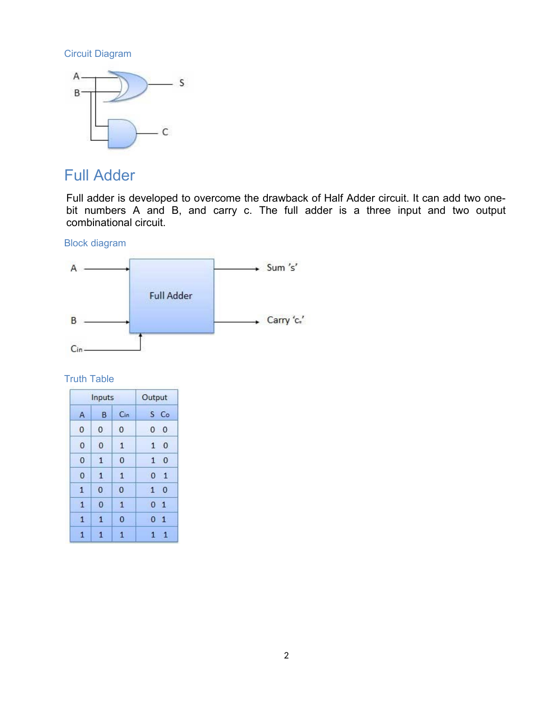Circuit Diagram



# Full Adder

Full adder is developed to overcome the drawback of Half Adder circuit. It can add two onebit numbers A and B, and carry c. The full adder is a three input and two output combinational circuit.

Block diagram



| Inputs         |                |                | Output                         |
|----------------|----------------|----------------|--------------------------------|
| A              | B              | $C_{in}$       | $S$ Co                         |
| $\overline{0}$ | $\mathbf{0}$   | 0              | 0<br>$\overline{0}$            |
| $\overline{0}$ | 0              | $\mathbf{1}$   | $1\quad 0$                     |
| $\overline{0}$ | $\mathbf{1}$   | $\overline{0}$ | $\mathbf{1}$<br>$\overline{0}$ |
| $\overline{0}$ | 1              | 1              | $\mathbf{1}$<br>$\Omega$       |
| $\mathbf{1}$   | $\overline{0}$ | 0              | $\mathbf{1}$<br>$\overline{0}$ |
| $\overline{1}$ | $\overline{0}$ | $\overline{1}$ | $\mathbf{1}$<br>$\overline{0}$ |
| 1              | $\mathbf{1}$   | 0              | $\overline{0}$<br>$\mathbf{1}$ |
| 1              | $\mathbf{1}$   | 1              | $\mathbf{1}$<br>1              |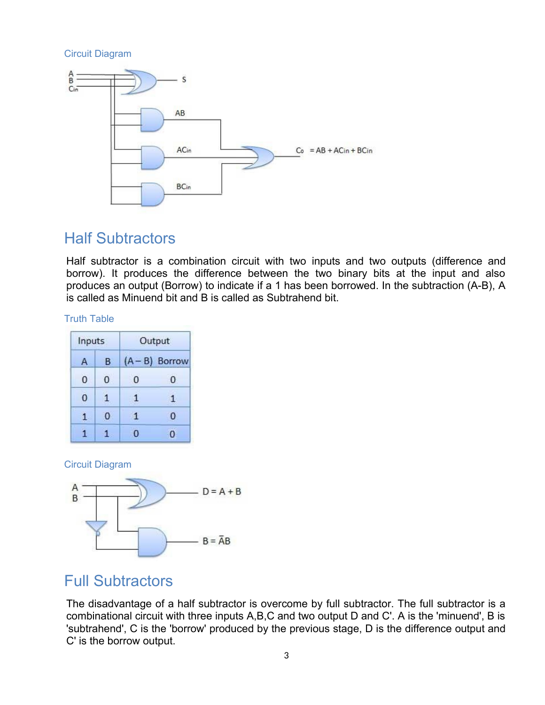Circuit Diagram



# Half Subtractors

Half subtractor is a combination circuit with two inputs and two outputs (difference and borrow). It produces the difference between the two binary bits at the input and also produces an output (Borrow) to indicate if a 1 has been borrowed. In the subtraction (A-B), A is called as Minuend bit and B is called as Subtrahend bit.

### Truth Table

| Inputs |   | Output |                  |
|--------|---|--------|------------------|
| Α      | B |        | $(A - B)$ Borrow |
| O      | O | 0      | 0                |
| 0      |   |        |                  |
|        | ο |        | п                |
|        |   | o      |                  |

#### Circuit Diagram



# Full Subtractors

The disadvantage of a half subtractor is overcome by full subtractor. The full subtractor is a combinational circuit with three inputs A,B,C and two output D and C'. A is the 'minuend', B is 'subtrahend', C is the 'borrow' produced by the previous stage, D is the difference output and C' is the borrow output.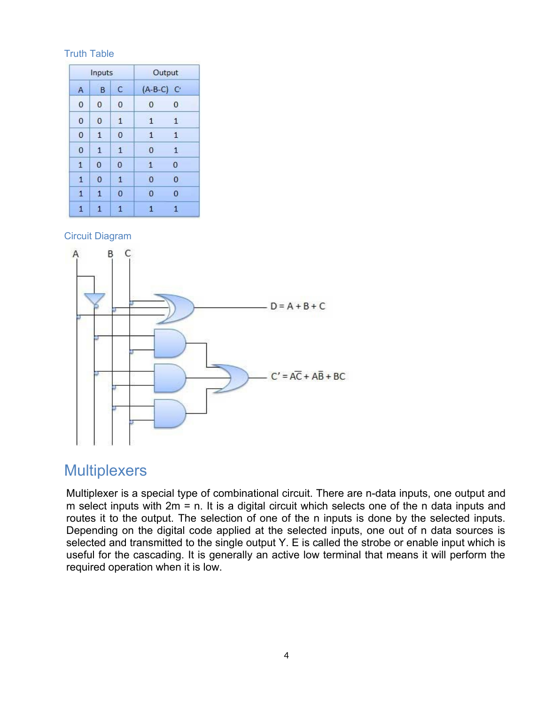### Truth Table

| Inputs         |                | Output       |                           |                |
|----------------|----------------|--------------|---------------------------|----------------|
| A              | B              | C            | $(A-B-C)$<br>$\mathbf{C}$ |                |
| 0              | 0              | 0            | 0                         | 0              |
| $\overline{0}$ | $\overline{0}$ | $\mathbf{1}$ | $\mathbf{1}$              | $\mathbf{1}$   |
| 0              | $\mathbf{1}$   | 0            | $\mathbf{1}$              | $\mathbf{1}$   |
| 0              | $\mathbf{1}$   | $\mathbf{1}$ | $\overline{0}$            | $\mathbf{1}$   |
| $\overline{1}$ | $\overline{0}$ | 0            | $\mathbf{1}$              | 0              |
| $\mathbf{1}$   | $\overline{0}$ | $\mathbf{1}$ | $\bf{0}$                  | $\overline{0}$ |
| $\mathbf{1}$   | $\overline{1}$ | 0            | $\mathbf 0$               | 0              |
| $\mathbf{1}$   | $\mathbf{1}$   | $\mathbf{1}$ | $\mathbf{1}$              | $\overline{1}$ |

Circuit Diagram



### **Multiplexers**

Multiplexer is a special type of combinational circuit. There are n-data inputs, one output and m select inputs with  $2m = n$ . It is a digital circuit which selects one of the n data inputs and routes it to the output. The selection of one of the n inputs is done by the selected inputs. Depending on the digital code applied at the selected inputs, one out of n data sources is selected and transmitted to the single output Y. E is called the strobe or enable input which is useful for the cascading. It is generally an active low terminal that means it will perform the required operation when it is low.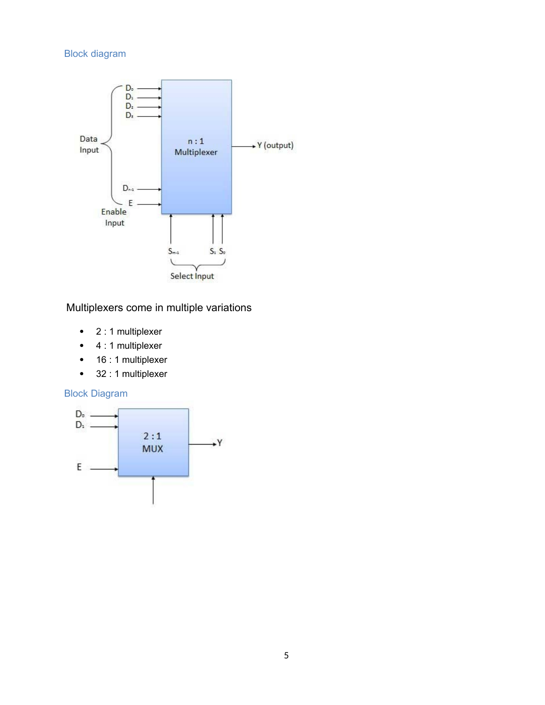### Block diagram



### Multiplexers come in multiple variations

- $\bullet$  2 : 1 multiplexer
- 4 : 1 multiplexer
- 16 : 1 multiplexer
- 32 : 1 multiplexer

### Block Diagram

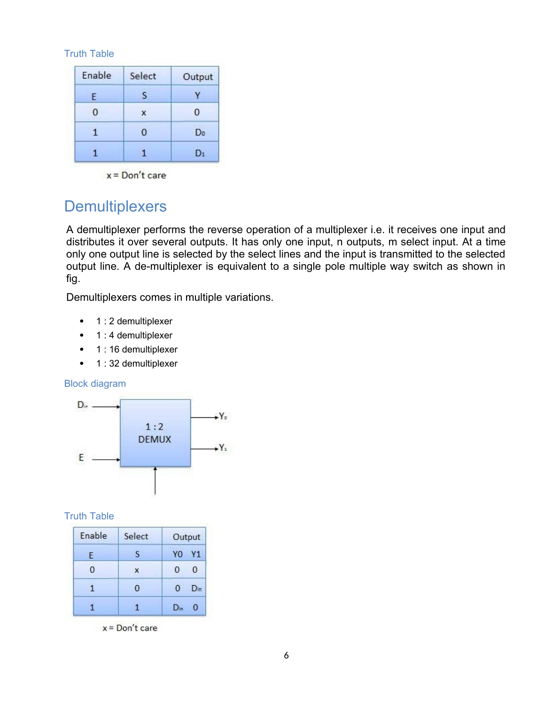### Truth Table

| Enable | Select | Output |
|--------|--------|--------|
| F      | Q      |        |
| O      |        | O      |
|        | 0      | Do     |
|        |        |        |

 $x = Don't care$ 

# **Demultiplexers**

A demultiplexer performs the reverse operation of a multiplexer i.e. it receives one input and distributes it over several outputs. It has only one input, n outputs, m select input. At a time only one output line is selected by the select lines and the input is transmitted to the selected output line. A de-multiplexer is equivalent to a single pole multiple way switch as shown in fig.

Demultiplexers comes in multiple variations.

- 1 : 2 demultiplexer
- 1 : 4 demultiplexer
- 1 : 16 demultiplexer
- 1 : 32 demultiplexer

#### Block diagram



| Enable | Select | Output   |          |
|--------|--------|----------|----------|
| F.     | s      | Y0       | $Y_1$    |
| O      |        | $\Omega$ |          |
|        | n      | o        | $D_{in}$ |
|        |        | D.       | O        |

 $x = Don't care$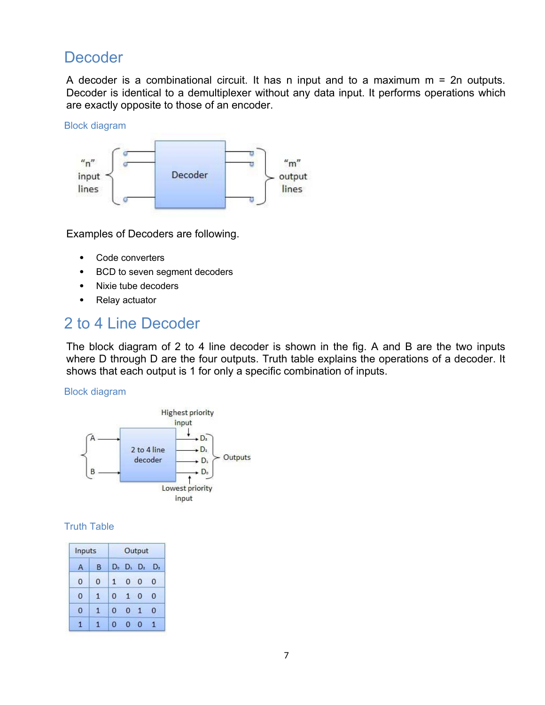## **Decoder**

A decoder is a combinational circuit. It has n input and to a maximum m = 2n outputs. Decoder is identical to a demultiplexer without any data input. It performs operations which are exactly opposite to those of an encoder.

Block diagram



Examples of Decoders are following.

- Code converters
- BCD to seven segment decoders
- Nixie tube decoders
- Relay actuator

# 2 to 4 Line Decoder

The block diagram of 2 to 4 line decoder is shown in the fig. A and B are the two inputs where D through D are the four outputs. Truth table explains the operations of a decoder. It shows that each output is 1 for only a specific combination of inputs.

Block diagram



| Inputs |              | Output   |                |              |    |
|--------|--------------|----------|----------------|--------------|----|
| д      | <sub>B</sub> | D.       |                | $D_1$ $D_2$  | D. |
| 0      | 0            | 1        | $\overline{0}$ | - 0          | 0  |
| 0      | $\mathbf{1}$ | $\Omega$ | $\mathbf{1}$   | 0            | 0  |
| 0      | 1            | 0        | 0              | $\mathbf{1}$ | Ω  |
|        |              | n        | ŋ              | n            |    |